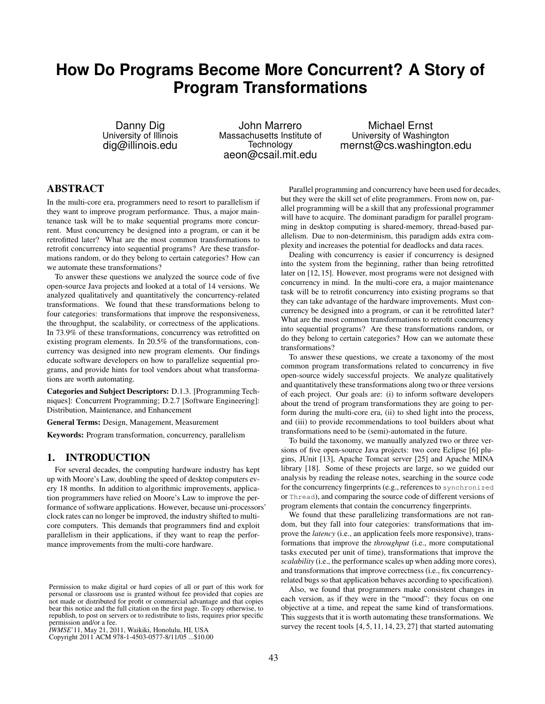# **How Do Programs Become More Concurrent? A Story of Program Transformations**

Danny Dig University of Illinois dig@illinois.edu

John Marrero Massachusetts Institute of Technology aeon@csail.mit.edu

Michael Ernst University of Washington mernst@cs.washington.edu

# ABSTRACT

In the multi-core era, programmers need to resort to parallelism if they want to improve program performance. Thus, a major maintenance task will be to make sequential programs more concurrent. Must concurrency be designed into a program, or can it be retrofitted later? What are the most common transformations to retrofit concurrency into sequential programs? Are these transformations random, or do they belong to certain categories? How can we automate these transformations?

To answer these questions we analyzed the source code of five open-source Java projects and looked at a total of 14 versions. We analyzed qualitatively and quantitatively the concurrency-related transformations. We found that these transformations belong to four categories: transformations that improve the responsiveness, the throughput, the scalability, or correctness of the applications. In 73.9% of these transformations, concurrency was retrofitted on existing program elements. In 20.5% of the transformations, concurrency was designed into new program elements. Our findings educate software developers on how to parallelize sequential programs, and provide hints for tool vendors about what transformations are worth automating.

Categories and Subject Descriptors: D.1.3. [Programming Techniques]: Concurrent Programming; D.2.7 [Software Engineering]: Distribution, Maintenance, and Enhancement

General Terms: Design, Management, Measurement

Keywords: Program transformation, concurrency, parallelism

### 1. INTRODUCTION

For several decades, the computing hardware industry has kept up with Moore's Law, doubling the speed of desktop computers every 18 months. In addition to algorithmic improvements, application programmers have relied on Moore's Law to improve the performance of software applications. However, because uni-processors' clock rates can no longer be improved, the industry shifted to multicore computers. This demands that programmers find and exploit parallelism in their applications, if they want to reap the performance improvements from the multi-core hardware.

Copyright 2011 ACM 978-1-4503-0577-8/11/05 ...\$10.00. Copyright 2011 ACM 978-1-4503-0577-8/11/05 ...\$10.00

Parallel programming and concurrency have been used for decades, but they were the skill set of elite programmers. From now on, parallel programming will be a skill that any professional programmer will have to acquire. The dominant paradigm for parallel programming in desktop computing is shared-memory, thread-based parallelism. Due to non-determinism, this paradigm adds extra complexity and increases the potential for deadlocks and data races.

Dealing with concurrency is easier if concurrency is designed into the system from the beginning, rather than being retrofitted later on [12, 15]. However, most programs were not designed with concurrency in mind. In the multi-core era, a major maintenance task will be to retrofit concurrency into existing programs so that they can take advantage of the hardware improvements. Must concurrency be designed into a program, or can it be retrofitted later? What are the most common transformations to retrofit concurrency into sequential programs? Are these transformations random, or do they belong to certain categories? How can we automate these transformations?

To answer these questions, we create a taxonomy of the most common program transformations related to concurrency in five open-source widely successful projects. We analyze qualitatively and quantitatively these transformations along two or three versions of each project. Our goals are: (i) to inform software developers about the trend of program transformations they are going to perform during the multi-core era, (ii) to shed light into the process, and (iii) to provide recommendations to tool builders about what transformations need to be (semi)-automated in the future.

To build the taxonomy, we manually analyzed two or three versions of five open-source Java projects: two core Eclipse [6] plugins, JUnit [13], Apache Tomcat server [25] and Apache MINA library [18]. Some of these projects are large, so we guided our analysis by reading the release notes, searching in the source code for the concurrency fingerprints (e.g., references to synchronized or Thread), and comparing the source code of different versions of program elements that contain the concurrency fingerprints.

We found that these parallelizing transformations are not random, but they fall into four categories: transformations that improve the *latency* (i.e., an application feels more responsive), transformations that improve the *throughput* (i.e., more computational tasks executed per unit of time), transformations that improve the *scalability* (i.e., the performance scales up when adding more cores), and transformations that improve correctness (i.e., fix concurrencyrelated bugs so that application behaves according to specification).

Also, we found that programmers make consistent changes in each version, as if they were in the "mood": they focus on one objective at a time, and repeat the same kind of transformations. This suggests that it is worth automating these transformations. We survey the recent tools [4, 5, 11, 14, 23, 27] that started automating

Permission to make digital or hard copies of all or part of this work for Permission to make digital or hard copies of all or part of this work for not made or distributed for profit or commercial advantage and that copies not made or distributed for profit or commercial advantage and that copies bear this notice and the full citation on the first page. To copy otherwise, to bear this notice and the full citation on the first page. To copy otherwise, to republish, to post on servers or to redistribute to lists, requires prior specific republish, to post on servers or to redistribute to lists, requires prior specific permission and/or a fee. personal or classroom use is granted without fee provided that copies are

permission and/or a fee.<br>*IWMSE*'11, May 21, 2011, Waikiki, Honolulu, HI, USA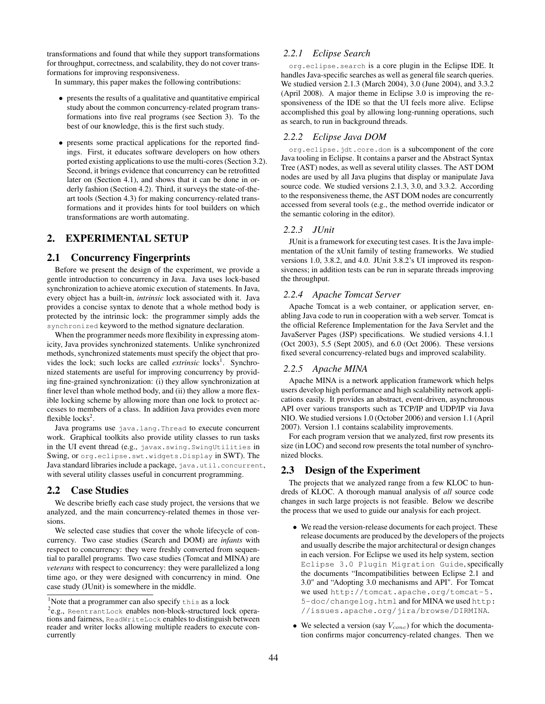transformations and found that while they support transformations for throughput, correctness, and scalability, they do not cover transformations for improving responsiveness.

In summary, this paper makes the following contributions:

- presents the results of a qualitative and quantitative empirical study about the common concurrency-related program transformations into five real programs (see Section 3). To the best of our knowledge, this is the first such study.
- presents some practical applications for the reported findings. First, it educates software developers on how others ported existing applications to use the multi-cores (Section 3.2). Second, it brings evidence that concurrency can be retrofitted later on (Section 4.1), and shows that it can be done in orderly fashion (Section 4.2). Third, it surveys the state-of-theart tools (Section 4.3) for making concurrency-related transformations and it provides hints for tool builders on which transformations are worth automating.

# 2. EXPERIMENTAL SETUP

### 2.1 Concurrency Fingerprints

Before we present the design of the experiment, we provide a gentle introduction to concurrency in Java. Java uses lock-based synchronization to achieve atomic execution of statements. In Java, every object has a built-in, *intrinsic* lock associated with it. Java provides a concise syntax to denote that a whole method body is protected by the intrinsic lock: the programmer simply adds the synchronized keyword to the method signature declaration.

When the programmer needs more flexibility in expressing atomicity, Java provides synchronized statements. Unlike synchronized methods, synchronized statements must specify the object that provides the lock; such locks are called *extrinsic* locks<sup>1</sup>. Synchronized statements are useful for improving concurrency by providing fine-grained synchronization: (i) they allow synchronization at finer level than whole method body, and (ii) they allow a more flexible locking scheme by allowing more than one lock to protect accesses to members of a class. In addition Java provides even more flexible  $locks^2$ .

Java programs use java.lang.Thread to execute concurrent work. Graphical toolkits also provide utility classes to run tasks in the UI event thread (e.g., javax.swing.SwingUtilities in Swing, or org.eclipse.swt.widgets.Display in SWT). The Java standard libraries include a package, java.util.concurrent, with several utility classes useful in concurrent programming.

### 2.2 Case Studies

We describe briefly each case study project, the versions that we analyzed, and the main concurrency-related themes in those versions.

We selected case studies that cover the whole lifecycle of concurrency. Two case studies (Search and DOM) are *infants* with respect to concurrency: they were freshly converted from sequential to parallel programs. Two case studies (Tomcat and MINA) are *veterans* with respect to concurrency: they were parallelized a long time ago, or they were designed with concurrency in mind. One case study (JUnit) is somewhere in the middle.

### *2.2.1 Eclipse Search*

org.eclipse.search is a core plugin in the Eclipse IDE. It handles Java-specific searches as well as general file search queries. We studied version 2.1.3 (March 2004), 3.0 (June 2004), and 3.3.2 (April 2008). A major theme in Eclipse 3.0 is improving the responsiveness of the IDE so that the UI feels more alive. Eclipse accomplished this goal by allowing long-running operations, such as search, to run in background threads.

# *2.2.2 Eclipse Java DOM*

org.eclipse.jdt.core.dom is a subcomponent of the core Java tooling in Eclipse. It contains a parser and the Abstract Syntax Tree (AST) nodes, as well as several utility classes. The AST DOM nodes are used by all Java plugins that display or manipulate Java source code. We studied versions 2.1.3, 3.0, and 3.3.2. According to the responsiveness theme, the AST DOM nodes are concurrently accessed from several tools (e.g., the method override indicator or the semantic coloring in the editor).

# *2.2.3 JUnit*

JUnit is a framework for executing test cases. It is the Java implementation of the xUnit family of testing frameworks. We studied versions 1.0, 3.8.2, and 4.0. JUnit 3.8.2's UI improved its responsiveness; in addition tests can be run in separate threads improving the throughput.

### *2.2.4 Apache Tomcat Server*

Apache Tomcat is a web container, or application server, enabling Java code to run in cooperation with a web server. Tomcat is the official Reference Implementation for the Java Servlet and the JavaServer Pages (JSP) specifications. We studied versions 4.1.1 (Oct 2003), 5.5 (Sept 2005), and 6.0 (Oct 2006). These versions fixed several concurrency-related bugs and improved scalability.

#### *2.2.5 Apache MINA*

Apache MINA is a network application framework which helps users develop high performance and high scalability network applications easily. It provides an abstract, event-driven, asynchronous API over various transports such as TCP/IP and UDP/IP via Java NIO. We studied versions 1.0 (October 2006) and version 1.1 (April 2007). Version 1.1 contains scalability improvements.

For each program version that we analyzed, first row presents its size (in LOC) and second row presents the total number of synchronized blocks.

### 2.3 Design of the Experiment

The projects that we analyzed range from a few KLOC to hundreds of KLOC. A thorough manual analysis of *all* source code changes in such large projects is not feasible. Below we describe the process that we used to guide our analysis for each project.

- We read the version-release documents for each project. These release documents are produced by the developers of the projects and usually describe the major architectural or design changes in each version. For Eclipse we used its help system, section Eclipse 3.0 Plugin Migration Guide, specifically the documents "Incompatibilities between Eclipse 2.1 and 3.0" and "Adopting 3.0 mechanisms and API". For Tomcat we used http://tomcat.apache.org/tomcat-5. 5-doc/changelog.html and for MINA we used http: //issues.apache.org/jira/browse/DIRMINA.
- We selected a version (say  $V_{conc}$ ) for which the documentation confirms major concurrency-related changes. Then we

<sup>&</sup>lt;sup>1</sup>Note that a programmer can also specify this as a lock

 $e^{2}$ e.g., ReentrantLock enables non-block-structured lock operations and fairness, ReadWriteLock enables to distinguish between reader and writer locks allowing multiple readers to execute concurrently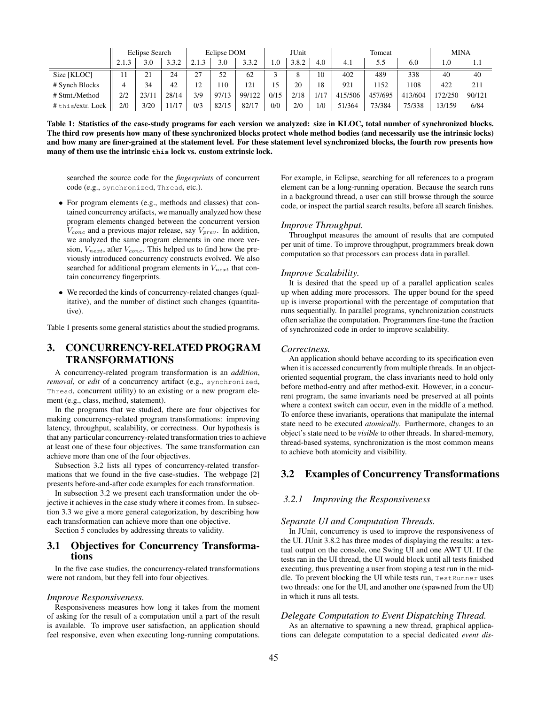|                  | Eclipse Search |          |       | Eclipse DOM            |       |        | <b>JUnit</b>      |       |      | Tomcat  |         |         | <b>MINA</b> |        |
|------------------|----------------|----------|-------|------------------------|-------|--------|-------------------|-------|------|---------|---------|---------|-------------|--------|
|                  | 2.1.3          | 3.0      | 3.3.2 | $\mathbf{\mathcal{R}}$ | 3.0   | 3.3.2  | 1.0               | 3.8.2 | 4.0  | 4.1     | 5.5     | 6.0     | 1.0         | 1.1    |
| Size [KLOC]      | 11             | 21<br>∠⊥ | 24    | 27                     | 52    | 62     | $\mathbf{\Omega}$ |       | 10   | 402     | 489     | 338     | 40          | 40     |
| # Synch Blocks   |                | 34       | 42    | 12                     | 10    | 121    | 15                | 20    | 18   | 921     | 152     | 108     | 422         | 211    |
| # Stmt./Method   | 2/2            | 23/11    | 28/14 | 3/9                    | 97/13 | 99/122 | 0/15              | 2/18  | 1/17 | 415/506 | 457/695 | 413/604 | 72/250      | 90/121 |
| #this/extr. Lock | 2/0            | 3/20     | 1/17  | 0/3                    | 82/15 | 82/17  | 0/0               | 2/0   | 1/0  | 51/364  | 73/384  | 75/338  | 13/159      | 6/84   |

Table 1: Statistics of the case-study programs for each version we analyzed: size in KLOC, total number of synchronized blocks. The third row presents how many of these synchronized blocks protect whole method bodies (and necessarily use the intrinsic locks) and how many are finer-grained at the statement level. For these statement level synchronized blocks, the fourth row presents how many of them use the intrinsic **this** lock vs. custom extrinsic lock.

searched the source code for the *fingerprints* of concurrent code (e.g., synchronized, Thread, etc.).

- For program elements (e.g., methods and classes) that contained concurrency artifacts, we manually analyzed how these program elements changed between the concurrent version  $V_{conc}$  and a previous major release, say  $V_{prev}$ . In addition, we analyzed the same program elements in one more version,  $V_{next}$ , after  $V_{conc}$ . This helped us to find how the previously introduced concurrency constructs evolved. We also searched for additional program elements in  $V_{next}$  that contain concurrency fingerprints.
- We recorded the kinds of concurrency-related changes (qualitative), and the number of distinct such changes (quantitative).

Table 1 presents some general statistics about the studied programs.

# 3. CONCURRENCY-RELATED PROGRAM TRANSFORMATIONS

A concurrency-related program transformation is an *addition*, *removal*, or *edit* of a concurrency artifact (e.g., synchronized, Thread, concurrent utility) to an existing or a new program element (e.g., class, method, statement).

In the programs that we studied, there are four objectives for making concurrency-related program transformations: improving latency, throughput, scalability, or correctness. Our hypothesis is that any particular concurrency-related transformation tries to achieve at least one of these four objectives. The same transformation can achieve more than one of the four objectives.

Subsection 3.2 lists all types of concurrency-related transformations that we found in the five case-studies. The webpage [2] presents before-and-after code examples for each transformation.

In subsection 3.2 we present each transformation under the objective it achieves in the case study where it comes from. In subsection 3.3 we give a more general categorization, by describing how each transformation can achieve more than one objective.

Section 5 concludes by addressing threats to validity.

# 3.1 Objectives for Concurrency Transformations

In the five case studies, the concurrency-related transformations were not random, but they fell into four objectives.

#### *Improve Responsiveness.*

Responsiveness measures how long it takes from the moment of asking for the result of a computation until a part of the result is available. To improve user satisfaction, an application should feel responsive, even when executing long-running computations. For example, in Eclipse, searching for all references to a program element can be a long-running operation. Because the search runs in a background thread, a user can still browse through the source code, or inspect the partial search results, before all search finishes.

#### *Improve Throughput.*

Throughput measures the amount of results that are computed per unit of time. To improve throughput, programmers break down computation so that processors can process data in parallel.

#### *Improve Scalability.*

It is desired that the speed up of a parallel application scales up when adding more processors. The upper bound for the speed up is inverse proportional with the percentage of computation that runs sequentially. In parallel programs, synchronization constructs often serialize the computation. Programmers fine-tune the fraction of synchronized code in order to improve scalability.

#### *Correctness.*

An application should behave according to its specification even when it is accessed concurrently from multiple threads. In an objectoriented sequential program, the class invariants need to hold only before method-entry and after method-exit. However, in a concurrent program, the same invariants need be preserved at all points where a context switch can occur, even in the middle of a method. To enforce these invariants, operations that manipulate the internal state need to be executed *atomically*. Furthermore, changes to an object's state need to be *visible* to other threads. In shared-memory, thread-based systems, synchronization is the most common means to achieve both atomicity and visibility.

# 3.2 Examples of Concurrency Transformations

# *3.2.1 Improving the Responsiveness*

#### *Separate UI and Computation Threads.*

In JUnit, concurrency is used to improve the responsiveness of the UI. JUnit 3.8.2 has three modes of displaying the results: a textual output on the console, one Swing UI and one AWT UI. If the tests ran in the UI thread, the UI would block until all tests finished executing, thus preventing a user from stoping a test run in the middle. To prevent blocking the UI while tests run, TestRunner uses two threads: one for the UI, and another one (spawned from the UI) in which it runs all tests.

#### *Delegate Computation to Event Dispatching Thread.*

As an alternative to spawning a new thread, graphical applications can delegate computation to a special dedicated *event dis-*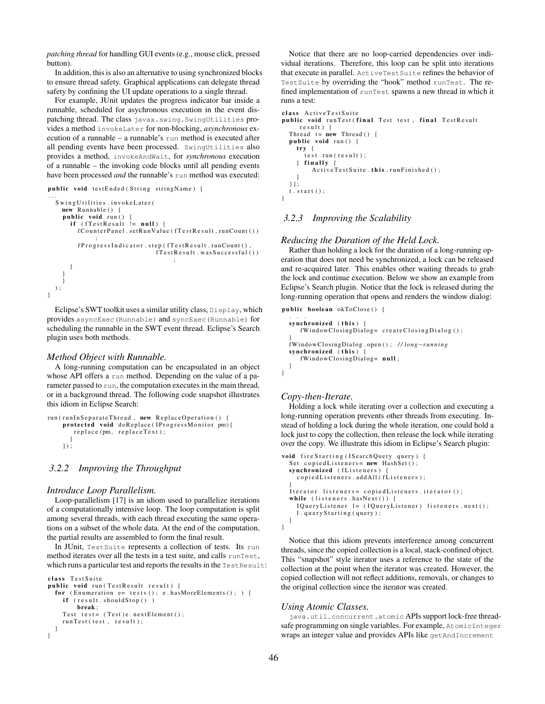*patching thread* for handling GUI events (e.g., mouse click, pressed button).

In addition, this is also an alternative to using synchronized blocks to ensure thread safety. Graphical applications can delegate thread safety by confining the UI update operations to a single thread.

For example, JUnit updates the progress indicator bar inside a runnable, scheduled for asychronous execution in the event dispatching thread. The class javax.swing.SwingUtilities provides a method invokeLater for non-blocking, *asynchronous* execution of a runnable – a runnable's run method is executed after all pending events have been processed. SwingUtilities also provides a method, invokeAndWait, for *synchronous* execution of a runnable – the invoking code blocks until all pending events have been processed *and* the runnable's run method was executed:

public void testEnded (String stringName) {

```
. . .
  Swing Utilities, invokeLater (
    new Runnable () {
    public void run ()
       if (fTestResult != null)f {Counter Panel}. setRunValue (f TestResult. runCount())
          ;<br>f Progress Indicator . step (f Test Result . run Count ( ),
                                  fTestResult.wass Successful();
       }
     }
     }
  ) ;
}
```
Eclipse's SWT toolkit uses a similar utility class, Display, which provides asyncExec(Runnable) and syncExec(Runnable) for scheduling the runnable in the SWT event thread. Eclipse's Search plugin uses both methods.

#### *Method Object with Runnable.*

A long-running computation can be encapsulated in an object whose API offers a run method. Depending on the value of a parameter passed to run, the computation executes in the main thread, or in a background thread. The following code snapshot illustrates this idiom in Eclipse Search:

```
run (run In Separate Thread, new Replace Operation () {
    protected void doReplace (IProgressMonitor pm) {
       replace (pm, replace Text);
      }
    \});
```
#### *3.2.2 Improving the Throughput*

#### *Introduce Loop Parallelism.*

Loop-parallelism [17] is an idiom used to parallelize iterations of a computationally intensive loop. The loop computation is split among several threads, with each thread executing the same operations on a subset of the whole data. At the end of the computation, the partial results are assembled to form the final result.

In JUnit, TestSuite represents a collection of tests. Its run method iterates over all the tests in a test suite, and calls runTest, which runs a particular test and reports the results in the Test Result:

```
class TestSuite
public void run (TestResult result) {
 for (Enumeration e= tests (); e.hasMoreElements (); ) {
    if (result should Stop() )break ;
    Test test = (Test) e.nextElement();
    runTest(test, result);}
}
```
Notice that there are no loop-carried dependencies over individual iterations. Therefore, this loop can be split into iterations that execute in parallel. ActiveTestSuite refines the behavior of TestSuite by overriding the "hook" method runTest. The refined implementation of runTest spawns a new thread in which it runs a test:

```
class ActiveTestSuite
public void runTest (final Test test, final TestResult
     result \{Thread t = new Thread()public void run () {
    try \{\int test.run (result);
    \} finally {
         ActiveTest Suite . this . run Finished () ;}
  } } ;
  t. start();
}
```
### *3.2.3 Improving the Scalability*

#### *Reducing the Duration of the Held Lock.*

Rather than holding a lock for the duration of a long-running operation that does not need be synchronized, a lock can be released and re-acquired later. This enables other waiting threads to grab the lock and continue execution. Below we show an example from Eclipse's Search plugin. Notice that the lock is released during the long-running operation that opens and renders the window dialog:

```
public boolean okToClose () {
  . . .
  synchronized (this) {
     fWindowClosingDialog= createClosingDialog ();
  }<br>fWindowClosingDialog . open () ; // long−running
  synchronized (this)
     fWindowClosingDialog= null;
  }
}
```
### *Copy-then-Iterate.*

Holding a lock while iterating over a collection and executing a long-running operation prevents other threads from executing. Instead of holding a lock during the whole iteration, one could hold a lock just to copy the collection, then release the lock while iterating over the copy. We illustrate this idiom in Eclipse's Search plugin:

```
void fire Starting (ISearchQuery query) {
  Set copiedListeners= new HashSet();
  synchronized (fListeners)
    \texttt{copiedLists} . addAll (fListeners):
  }
  It erator listeners = copied Listeners. it erator ();
  while ( 1 is teners. hasNext () ) {
    I Query Listener l = (I Query Listener ) listeners . next ();
    l.queryStarting(query);
  }
}
```
Notice that this idiom prevents interference among concurrent threads, since the copied collection is a local, stack-confined object. This "snapshot" style iterator uses a reference to the state of the collection at the point when the iterator was created. However, the copied collection will not reflect additions, removals, or changes to the original collection since the iterator was created.

#### *Using Atomic Classes.*

java.util.concurrent.atomic APIs support lock-free threadsafe programming on single variables. For example, AtomicInteger wraps an integer value and provides APIs like getAndIncrement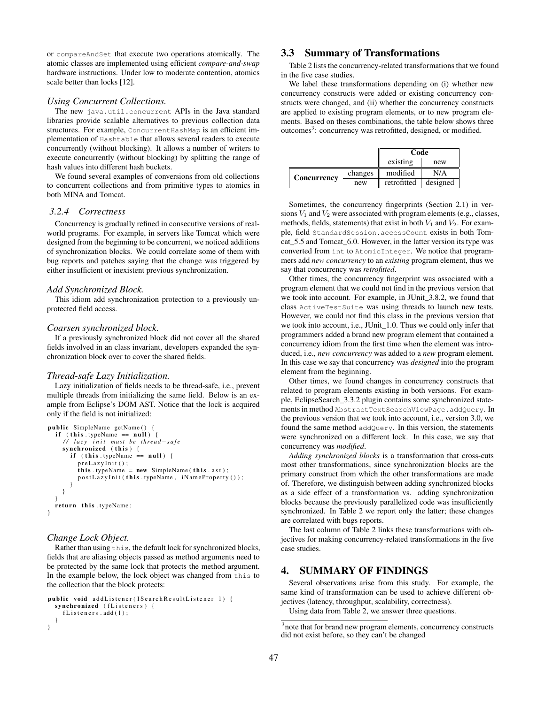or compareAndSet that execute two operations atomically. The atomic classes are implemented using efficient *compare-and-swap* hardware instructions. Under low to moderate contention, atomics scale better than locks [12].

#### *Using Concurrent Collections.*

The new java.util.concurrent APIs in the Java standard libraries provide scalable alternatives to previous collection data structures. For example, ConcurrentHashMap is an efficient implementation of Hashtable that allows several readers to execute concurrently (without blocking). It allows a number of writers to execute concurrently (without blocking) by splitting the range of hash values into different hash buckets.

We found several examples of conversions from old collections to concurrent collections and from primitive types to atomics in both MINA and Tomcat.

### *3.2.4 Correctness*

Concurrency is gradually refined in consecutive versions of realworld programs. For example, in servers like Tomcat which were designed from the beginning to be concurrent, we noticed additions of synchronization blocks. We could correlate some of them with bug reports and patches saying that the change was triggered by either insufficient or inexistent previous synchronization.

#### *Add Synchronized Block.*

This idiom add synchronization protection to a previously unprotected field access.

#### *Coarsen synchronized block.*

If a previously synchronized block did not cover all the shared fields involved in an class invariant, developers expanded the synchronization block over to cover the shared fields.

#### *Thread-safe Lazy Initialization.*

Lazy initialization of fields needs to be thread-safe, i.e., prevent multiple threads from initializing the same field. Below is an example from Eclipse's DOM AST. Notice that the lock is acquired only if the field is not initialized:

```
public SimpleName getName () {
  i f ( t h i s . typeName == n u l l ) {
     // lazy init must be thread−safe<br>synchronized (this){
       if (this \t typeName == null) {
         preLazyInit();
         this . typeName = new SimpleName (this . ast);
         postLazyInit (this .typeName, iNameProperty());
       }
    }
  }<br>return this.typeName;
}
```
#### *Change Lock Object.*

Rather than using this, the default lock for synchronized blocks, fields that are aliasing objects passed as method arguments need to be protected by the same lock that protects the method argument. In the example below, the lock object was changed from this to the collection that the block protects:

```
public void add Listener (I Search Result Listener 1) {
 synchronized (fListeners) {
    fListeners. add(1);
  }
}
```
# 3.3 Summary of Transformations

Table 2 lists the concurrency-related transformations that we found in the five case studies.

We label these transformations depending on (i) whether new concurrency constructs were added or existing concurrency constructs were changed, and (ii) whether the concurrency constructs are applied to existing program elements, or to new program elements. Based on theses combinations, the table below shows three outcomes<sup>3</sup>: concurrency was retrofitted, designed, or modified.

|             |         | Code        |          |  |  |
|-------------|---------|-------------|----------|--|--|
|             |         | existing    | new      |  |  |
| Concurrency | changes | modified    | N/A      |  |  |
|             | new     | retrofitted | designed |  |  |

Sometimes, the concurrency fingerprints (Section 2.1) in versions  $V_1$  and  $V_2$  were associated with program elements (e.g., classes, methods, fields, statements) that exist in both  $V_1$  and  $V_2$ . For example, field StandardSession.accessCount exists in both Tomcat 5.5 and Tomcat 6.0. However, in the latter version its type was converted from int to AtomicInteger. We notice that programmers add *new concurrency* to an *existing* program element, thus we say that concurrency was *retrofitted*.

Other times, the concurrency fingerprint was associated with a program element that we could not find in the previous version that we took into account. For example, in JUnit\_3.8.2, we found that class ActiveTestSuite was using threads to launch new tests. However, we could not find this class in the previous version that we took into account, i.e., JUnit\_1.0. Thus we could only infer that programmers added a brand new program element that contained a concurrency idiom from the first time when the element was introduced, i.e., *new concurrency* was added to a *new* program element. In this case we say that concurrency was *designed* into the program element from the beginning.

Other times, we found changes in concurrency constructs that related to program elements existing in both versions. For example, EclipseSearch\_3.3.2 plugin contains some synchronized statements in method AbstractTextSearchViewPage.addQuery. In the previous version that we took into account, i.e., version 3.0, we found the same method addQuery. In this version, the statements were synchronized on a different lock. In this case, we say that concurrency was *modified*.

*Adding synchronized blocks* is a transformation that cross-cuts most other transformations, since synchronization blocks are the primary construct from which the other transformations are made of. Therefore, we distinguish between adding synchronized blocks as a side effect of a transformation vs. adding synchronization blocks because the previously parallelized code was insufficiently synchronized. In Table 2 we report only the latter; these changes are correlated with bugs reports.

The last column of Table 2 links these transformations with objectives for making concurrency-related transformations in the five case studies.

# 4. SUMMARY OF FINDINGS

Several observations arise from this study. For example, the same kind of transformation can be used to achieve different objectives (latency, throughput, scalability, correctness).

Using data from Table 2, we answer three questions.

<sup>&</sup>lt;sup>3</sup>note that for brand new program elements, concurrency constructs did not exist before, so they can't be changed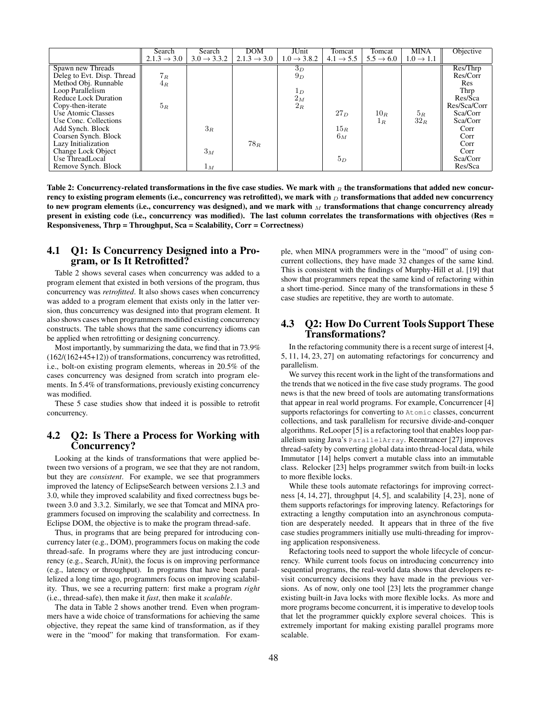|                             | Search                  | Search                  | <b>DOM</b>              | JUnit                   | Tomcat                | Tomcat                | <b>MINA</b>           | Objective    |
|-----------------------------|-------------------------|-------------------------|-------------------------|-------------------------|-----------------------|-----------------------|-----------------------|--------------|
|                             | $2.1.3 \rightarrow 3.0$ | $3.0 \rightarrow 3.3.2$ | $2.1.3 \rightarrow 3.0$ | $1.0 \rightarrow 3.8.2$ | $4.1 \rightarrow 5.5$ | $5.5 \rightarrow 6.0$ | $1.0 \rightarrow 1.1$ |              |
| Spawn new Threads           |                         |                         |                         | $3_D$                   |                       |                       |                       | Res/Thrp     |
| Deleg to Evt. Disp. Thread  | $7_R$                   |                         |                         | $9_D$                   |                       |                       |                       | Res/Corr     |
| Method Obj. Runnable        | 4R                      |                         |                         |                         |                       |                       |                       | <b>Res</b>   |
| Loop Parallelism            |                         |                         |                         | $1_D$                   |                       |                       |                       | Thrp         |
| <b>Reduce Lock Duration</b> |                         |                         |                         | $2_M$                   |                       |                       |                       | Res/Sca      |
| Copy-then-iterate           | $5_R$                   |                         |                         | $2_R$                   |                       |                       |                       | Res/Sca/Corr |
| Use Atomic Classes          |                         |                         |                         |                         | $27_D$                | $10_R$                | $5_R$                 | Sca/Corr     |
| Use Conc. Collections       |                         |                         |                         |                         |                       | $1_R$                 | $32_R$                | Sca/Corr     |
| Add Synch. Block            |                         | $3_R$                   |                         |                         | $15_R$                |                       |                       | Corr         |
| Coarsen Synch. Block        |                         |                         |                         |                         | $6_M$                 |                       |                       | Corr         |
| Lazy Initialization         |                         |                         | $78_R$                  |                         |                       |                       |                       | Corr         |
| Change Lock Object          |                         | $3_M$                   |                         |                         |                       |                       |                       | Corr         |
| Use ThreadLocal             |                         |                         |                         |                         | 5 <sub>D</sub>        |                       |                       | Sca/Corr     |
| Remove Synch. Block         |                         | $1_M$                   |                         |                         |                       |                       |                       | Res/Sca      |

Table 2: Concurrency-related transformations in the five case studies. We mark with  $_R$  the transformations that added new concurrency to existing program elements (i.e., concurrency was retrofitted), we mark with  $_D$  transformations that added new concurrency to new program elements (i.e., concurrency was designed), and we mark with  $_M$  transformations that change concurrency already present in existing code (i.e., concurrency was modified). The last column correlates the transformations with objectives (Res = Responsiveness, Thrp = Throughput, Sca = Scalability, Corr = Correctness)

# 4.1 Q1: Is Concurrency Designed into a Program, or Is It Retrofitted?

Table 2 shows several cases when concurrency was added to a program element that existed in both versions of the program, thus concurrency was *retrofitted*. It also shows cases when concurrency was added to a program element that exists only in the latter version, thus concurrency was designed into that program element. It also shows cases when programmers modified existing concurrency constructs. The table shows that the same concurrency idioms can be applied when retrofitting or designing concurrency.

Most importantly, by summarizing the data, we find that in 73.9% (162/(162+45+12)) of transformations, concurrency was retrofitted, i.e., bolt-on existing program elements, whereas in 20.5% of the cases concurrency was designed from scratch into program elements. In 5.4% of transformations, previously existing concurrency was modified.

These 5 case studies show that indeed it is possible to retrofit concurrency.

# 4.2 Q2: Is There a Process for Working with Concurrency?

Looking at the kinds of transformations that were applied between two versions of a program, we see that they are not random, but they are *consistent*. For example, we see that programmers improved the latency of EclipseSearch between versions 2.1.3 and 3.0, while they improved scalability and fixed correctness bugs between 3.0 and 3.3.2. Similarly, we see that Tomcat and MINA programmers focused on improving the scalability and correctness. In Eclipse DOM, the objective is to make the program thread-safe.

Thus, in programs that are being prepared for introducing concurrency later (e.g., DOM), programmers focus on making the code thread-safe. In programs where they are just introducing concurrency (e.g., Search, JUnit), the focus is on improving performance (e.g., latency or throughput). In programs that have been parallelized a long time ago, programmers focus on improving scalability. Thus, we see a recurring pattern: first make a program *right* (i.e., thread-safe), then make it *fast*, then make it *scalable*.

The data in Table 2 shows another trend. Even when programmers have a wide choice of transformations for achieving the same objective, they repeat the same kind of transformation, as if they were in the "mood" for making that transformation. For example, when MINA programmers were in the "mood" of using concurrent collections, they have made 32 changes of the same kind. This is consistent with the findings of Murphy-Hill et al. [19] that show that programmers repeat the same kind of refactoring within a short time-period. Since many of the transformations in these 5 case studies are repetitive, they are worth to automate.

# 4.3 Q2: How Do Current Tools Support These Transformations?

In the refactoring community there is a recent surge of interest [4, 5, 11, 14, 23, 27] on automating refactorings for concurrency and parallelism.

We survey this recent work in the light of the transformations and the trends that we noticed in the five case study programs. The good news is that the new breed of tools are automating transformations that appear in real world programs. For example, Concurrencer [4] supports refactorings for converting to Atomic classes, concurrent collections, and task parallelism for recursive divide-and-conquer algorithms. ReLooper [5] is a refactoring tool that enables loop parallelism using Java's ParallelArray. Reentrancer [27] improves thread-safety by converting global data into thread-local data, while Immutator [14] helps convert a mutable class into an immutable class. Relocker [23] helps programmer switch from built-in locks to more flexible locks.

While these tools automate refactorings for improving correctness [4, 14, 27], throughput [4, 5], and scalability [4, 23], none of them supports refactorings for improving latency. Refactorings for extracting a lengthy computation into an asynchronous computation are desperately needed. It appears that in three of the five case studies programmers initially use multi-threading for improving application responsiveness.

Refactoring tools need to support the whole lifecycle of concurrency. While current tools focus on introducing concurrency into sequential programs, the real-world data shows that developers revisit concurrency decisions they have made in the previous versions. As of now, only one tool [23] lets the programmer change existing built-in Java locks with more flexible locks. As more and more programs become concurrent, it is imperative to develop tools that let the programmer quickly explore several choices. This is extremely important for making existing parallel programs more scalable.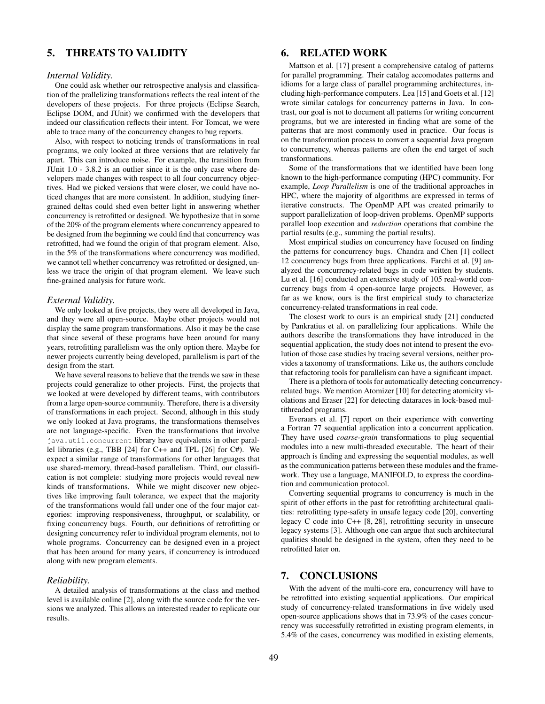# 5. THREATS TO VALIDITY

#### *Internal Validity.*

One could ask whether our retrospective analysis and classification of the prallelizing transformations reflects the real intent of the developers of these projects. For three projects (Eclipse Search, Eclipse DOM, and JUnit) we confirmed with the developers that indeed our classification reflects their intent. For Tomcat, we were able to trace many of the concurrency changes to bug reports.

Also, with respect to noticing trends of transformations in real programs, we only looked at three versions that are relatively far apart. This can introduce noise. For example, the transition from JUnit 1.0 - 3.8.2 is an outlier since it is the only case where developers made changes with respect to all four concurrency objectives. Had we picked versions that were closer, we could have noticed changes that are more consistent. In addition, studying finergrained deltas could shed even better light in answering whether concurrency is retrofitted or designed. We hypothesize that in some of the 20% of the program elements where concurrency appeared to be designed from the beginning we could find that concurrency was retrofitted, had we found the origin of that program element. Also, in the 5% of the transformations where concurrency was modified, we cannot tell whether concurrency was retrofitted or designed, unless we trace the origin of that program element. We leave such fine-grained analysis for future work.

#### *External Validity.*

We only looked at five projects, they were all developed in Java, and they were all open-source. Maybe other projects would not display the same program transformations. Also it may be the case that since several of these programs have been around for many years, retrofitting parallelism was the only option there. Maybe for newer projects currently being developed, parallelism is part of the design from the start.

We have several reasons to believe that the trends we saw in these projects could generalize to other projects. First, the projects that we looked at were developed by different teams, with contributors from a large open-source community. Therefore, there is a diversity of transformations in each project. Second, although in this study we only looked at Java programs, the transformations themselves are not language-specific. Even the transformations that involve java.util.concurrent library have equivalents in other parallel libraries (e.g., TBB [24] for C++ and TPL [26] for C#). We expect a similar range of transformations for other languages that use shared-memory, thread-based parallelism. Third, our classification is not complete: studying more projects would reveal new kinds of transformations. While we might discover new objectives like improving fault tolerance, we expect that the majority of the transformations would fall under one of the four major categories: improving responsiveness, throughput, or scalability, or fixing concurrency bugs. Fourth, our definitions of retrofitting or designing concurrency refer to individual program elements, not to whole programs. Concurrency can be designed even in a project that has been around for many years, if concurrency is introduced along with new program elements.

# *Reliability.*

A detailed analysis of transformations at the class and method level is available online [2], along with the source code for the versions we analyzed. This allows an interested reader to replicate our results.

# 6. RELATED WORK

Mattson et al. [17] present a comprehensive catalog of patterns for parallel programming. Their catalog accomodates patterns and idioms for a large class of parallel programming architectures, including high-performance computers. Lea [15] and Goets et al. [12] wrote similar catalogs for concurrency patterns in Java. In contrast, our goal is not to document all patterns for writing concurrent programs, but we are interested in finding what are some of the patterns that are most commonly used in practice. Our focus is on the transformation process to convert a sequential Java program to concurrency, whereas patterns are often the end target of such transformations.

Some of the transformations that we identified have been long known to the high-performance computing (HPC) community. For example, *Loop Parallelism* is one of the traditional approaches in HPC, where the majority of algorithms are expressed in terms of iterative constructs. The OpenMP API was created primarily to support parallelization of loop-driven problems. OpenMP supports parallel loop execution and *reduction* operations that combine the partial results (e.g., summing the partial results).

Most empirical studies on concurrency have focused on finding the patterns for concurrency bugs. Chandra and Chen [1] collect 12 concurrency bugs from three applications. Farchi et al. [9] analyzed the concurrency-related bugs in code written by students. Lu et al. [16] conducted an extensive study of 105 real-world concurrency bugs from 4 open-source large projects. However, as far as we know, ours is the first empirical study to characterize concurrency-related transformations in real code.

The closest work to ours is an empirical study [21] conducted by Pankratius et al. on parallelizing four applications. While the authors describe the transformations they have introduced in the sequential application, the study does not intend to present the evolution of those case studies by tracing several versions, neither provides a taxonomy of transformations. Like us, the authors conclude that refactoring tools for parallelism can have a significant impact.

There is a plethora of tools for automatically detecting concurrencyrelated bugs. We mention Atomizer [10] for detecting atomicity violations and Eraser [22] for detecting dataraces in lock-based multithreaded programs.

Everaars et al. [7] report on their experience with converting a Fortran 77 sequential application into a concurrent application. They have used *coarse-grain* transformations to plug sequential modules into a new multi-threaded executable. The heart of their approach is finding and expressing the sequential modules, as well as the communication patterns between these modules and the framework. They use a language, MANIFOLD, to express the coordination and communication protocol.

Converting sequential programs to concurrency is much in the spirit of other efforts in the past for retrofitting architectural qualities: retrofitting type-safety in unsafe legacy code [20], converting legacy C code into C++ [8, 28], retrofitting security in unsecure legacy systems [3]. Although one can argue that such architectural qualities should be designed in the system, often they need to be retrofitted later on.

# 7. CONCLUSIONS

With the advent of the multi-core era, concurrency will have to be retrofitted into existing sequential applications. Our empirical study of concurrency-related transformations in five widely used open-source applications shows that in 73.9% of the cases concurrency was successfully retrofitted in existing program elements, in 5.4% of the cases, concurrency was modified in existing elements,